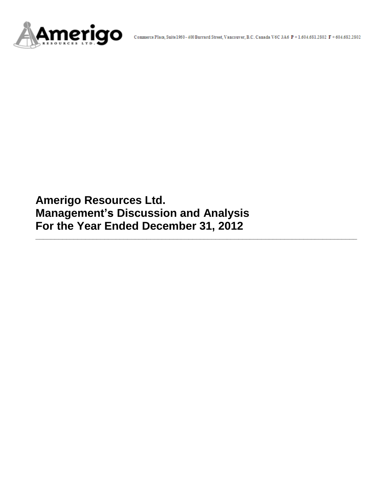

**Amerigo Resources Ltd. Management's Discussion and Analysis For the Year Ended December 31, 2012**

**\_\_\_\_\_\_\_\_\_\_\_\_\_\_\_\_\_\_\_\_\_\_\_\_\_\_\_\_\_\_\_\_\_\_\_\_\_\_\_\_\_\_\_\_\_\_\_\_\_\_\_\_\_\_\_\_\_\_\_\_\_\_\_\_\_\_\_\_\_\_\_\_\_\_\_\_\_\_\_\_\_\_\_\_**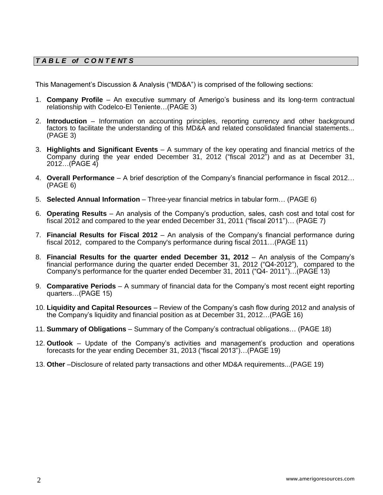# *T A B L E of C O N T E NT S*

This Management's Discussion & Analysis ("MD&A") is comprised of the following sections:

- 1. **Company Profile**  An executive summary of Amerigo's business and its long-term contractual relationship with Codelco-El Teniente…(PAGE 3)
- 2. **Introduction**  Information on accounting principles, reporting currency and other background factors to facilitate the understanding of this MD&A and related consolidated financial statements... (PAGE 3)
- 3. **Highlights and Significant Events** A summary of the key operating and financial metrics of the Company during the year ended December 31, 2012 ("fiscal 2012") and as at December 31, 2012…(PAGE 4)
- 4. **Overall Performance** A brief description of the Company's financial performance in fiscal 2012… (PAGE 6)
- 5. **Selected Annual Information** Three-year financial metrics in tabular form… (PAGE 6)
- 6. **Operating Results** An analysis of the Company's production, sales, cash cost and total cost for fiscal 2012 and compared to the year ended December 31, 2011 ("fiscal 2011")… (PAGE 7)
- 7. **Financial Results for Fiscal 2012** An analysis of the Company's financial performance during fiscal 2012, compared to the Company's performance during fiscal 2011…(PAGE 11)
- 8. **Financial Results for the quarter ended December 31, 2012** An analysis of the Company's financial performance during the quarter ended December 31, 2012 ("Q4-2012"), compared to the Company's performance for the quarter ended December 31, 2011 ("Q4- 2011")…(PAGE 13)
- 9. **Comparative Periods** A summary of financial data for the Company's most recent eight reporting quarters…(PAGE 15)
- 10. **Liquidity and Capital Resources** Review of the Company's cash flow during 2012 and analysis of the Company's liquidity and financial position as at December 31, 2012…(PAGE 16)
- 11. **Summary of Obligations**  Summary of the Company's contractual obligations… (PAGE 18)
- 12. **Outlook** Update of the Company's activities and management's production and operations forecasts for the year ending December 31, 2013 ("fiscal 2013")…(PAGE 19)
- 13. **Other** –Disclosure of related party transactions and other MD&A requirements...(PAGE 19)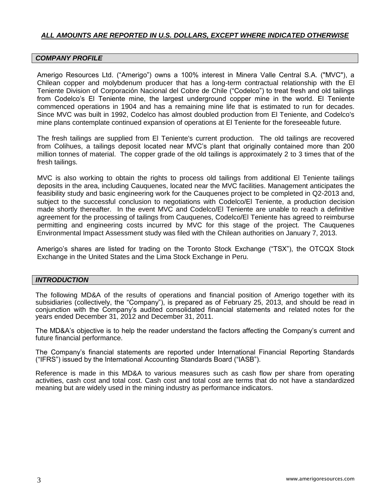# *ALL AMOUNTS ARE REPORTED IN U.S. DOLLARS, EXCEPT WHERE INDICATED OTHERWISE*

#### *COMPANY PROFILE*

Amerigo Resources Ltd. ("Amerigo") owns a 100% interest in Minera Valle Central S.A. ("MVC"), a Chilean copper and molybdenum producer that has a long-term contractual relationship with the El Teniente Division of Corporación Nacional del Cobre de Chile ("Codelco") to treat fresh and old tailings from Codelco's El Teniente mine, the largest underground copper mine in the world. El Teniente commenced operations in 1904 and has a remaining mine life that is estimated to run for decades. Since MVC was built in 1992, Codelco has almost doubled production from El Teniente, and Codelco's mine plans contemplate continued expansion of operations at El Teniente for the foreseeable future.

The fresh tailings are supplied from El Teniente's current production. The old tailings are recovered from Colihues, a tailings deposit located near MVC's plant that originally contained more than 200 million tonnes of material. The copper grade of the old tailings is approximately 2 to 3 times that of the fresh tailings.

MVC is also working to obtain the rights to process old tailings from additional El Teniente tailings deposits in the area, including Cauquenes, located near the MVC facilities. Management anticipates the feasibility study and basic engineering work for the Cauquenes project to be completed in Q2-2013 and, subject to the successful conclusion to negotiations with Codelco/El Teniente, a production decision made shortly thereafter. In the event MVC and Codelco/El Teniente are unable to reach a definitive agreement for the processing of tailings from Cauquenes, Codelco/El Teniente has agreed to reimburse permitting and engineering costs incurred by MVC for this stage of the project. The Cauquenes Environmental Impact Assessment study was filed with the Chilean authorities on January 7, 2013.

Amerigo's shares are listed for trading on the Toronto Stock Exchange ("TSX"), the OTCQX Stock Exchange in the United States and the Lima Stock Exchange in Peru.

#### *INTRODUCTION*

The following MD&A of the results of operations and financial position of Amerigo together with its subsidiaries (collectively, the "Company"), is prepared as of February 25, 2013, and should be read in conjunction with the Company's audited consolidated financial statements and related notes for the years ended December 31, 2012 and December 31, 2011.

The MD&A's objective is to help the reader understand the factors affecting the Company's current and future financial performance.

The Company's financial statements are reported under International Financial Reporting Standards ("IFRS") issued by the International Accounting Standards Board ("IASB").

Reference is made in this MD&A to various measures such as cash flow per share from operating activities, cash cost and total cost. Cash cost and total cost are terms that do not have a standardized meaning but are widely used in the mining industry as performance indicators.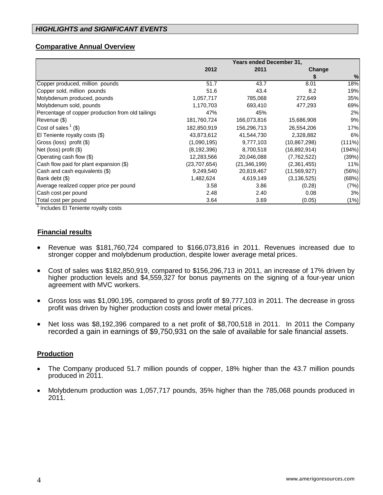# **Comparative Annual Overview**

|                                                   | <b>Years ended December 31,</b> |                |                |           |  |
|---------------------------------------------------|---------------------------------|----------------|----------------|-----------|--|
|                                                   | 2012                            | 2011           | Change         |           |  |
|                                                   |                                 |                |                | %         |  |
| Copper produced, million pounds                   | 51.7                            | 43.7           | 8.01           | 18%       |  |
| Copper sold, million pounds                       | 51.6                            | 43.4           | 8.2            | 19%       |  |
| Molybdenum produced, pounds                       | 1,057,717                       | 785,068        | 272,649        | 35%       |  |
| Molybdenum sold, pounds                           | 1,170,703                       | 693,410        | 477,293        | 69%       |  |
| Percentage of copper production from old tailings | 47%                             | 45%            |                | 2%        |  |
| Revenue (\$)                                      | 181,760,724                     | 166,073,816    | 15,686,908     | 9%        |  |
| Cost of sales $(3)$                               | 182,850,919                     | 156,296,713    | 26,554,206     | 17%       |  |
| El Teniente royalty costs (\$)                    | 43,873,612                      | 41,544,730     | 2,328,882      | 6%        |  |
| Gross (loss) profit (\$)                          | (1,090,195)                     | 9,777,103      | (10, 867, 298) | $(111\%)$ |  |
| Net (loss) profit $(\$)$                          | (8, 192, 396)                   | 8,700,518      | (16,892,914)   | (194%)    |  |
| Operating cash flow (\$)                          | 12,283,566                      | 20,046,088     | (7,762,522)    | (39%)     |  |
| Cash flow paid for plant expansion (\$)           | (23,707,654)                    | (21, 346, 199) | (2,361,455)    | 11%       |  |
| Cash and cash equivalents (\$)                    | 9,249,540                       | 20,819,467     | (11,569,927)   | (56%)     |  |
| Bank debt (\$)                                    | 1,482,624                       | 4,619,149      | (3, 136, 525)  | (68%)     |  |
| Average realized copper price per pound           | 3.58                            | 3.86           | (0.28)         | (7%)      |  |
| Cash cost per pound                               | 2.48                            | 2.40           | 0.08           | 3%        |  |
| Total cost per pound<br>1.                        | 3.64                            | 3.69           | (0.05)         | (1%)      |  |

<sup>1</sup> Includes El Teniente royalty costs

# **Financial results**

- Revenue was \$181,760,724 compared to \$166,073,816 in 2011. Revenues increased due to stronger copper and molybdenum production, despite lower average metal prices.
- Cost of sales was \$182,850,919, compared to \$156,296,713 in 2011, an increase of 17% driven by higher production levels and \$4,559,327 for bonus payments on the signing of a four-year union agreement with MVC workers.
- Gross loss was \$1,090,195, compared to gross profit of \$9,777,103 in 2011. The decrease in gross profit was driven by higher production costs and lower metal prices.
- Net loss was \$8,192,396 compared to a net profit of \$8,700,518 in 2011. In 2011 the Company recorded a gain in earnings of \$9,750,931 on the sale of available for sale financial assets.

# **Production**

- The Company produced 51.7 million pounds of copper, 18% higher than the 43.7 million pounds produced in 2011.
- Molybdenum production was 1,057,717 pounds, 35% higher than the 785,068 pounds produced in 2011.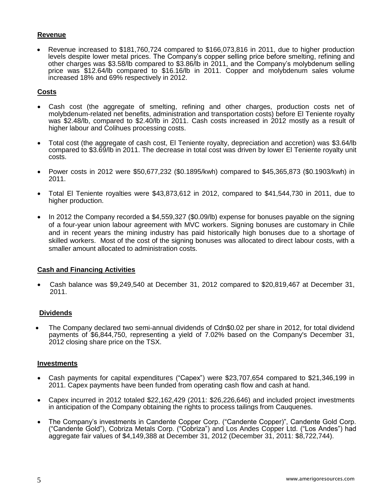# **Revenue**

 Revenue increased to \$181,760,724 compared to \$166,073,816 in 2011, due to higher production levels despite lower metal prices. The Company's copper selling price before smelting, refining and other charges was \$3.58/lb compared to \$3.86/lb in 2011, and the Company's molybdenum selling price was \$12.64/lb compared to \$16.16/lb in 2011. Copper and molybdenum sales volume increased 18% and 69% respectively in 2012.

## **Costs**

- Cash cost (the aggregate of smelting, refining and other charges, production costs net of molybdenum-related net benefits, administration and transportation costs) before El Teniente royalty was \$2.48/lb, compared to \$2.40/lb in 2011. Cash costs increased in 2012 mostly as a result of higher labour and Colihues processing costs.
- Total cost (the aggregate of cash cost, El Teniente royalty, depreciation and accretion) was \$3.64/lb compared to \$3.69/lb in 2011. The decrease in total cost was driven by lower El Teniente royalty unit costs.
- Power costs in 2012 were \$50,677,232 (\$0.1895/kwh) compared to \$45,365,873 (\$0.1903/kwh) in 2011.
- Total El Teniente royalties were \$43,873,612 in 2012, compared to \$41,544,730 in 2011, due to higher production.
- $\bullet$  In 2012 the Company recorded a \$4,559,327 (\$0.09/lb) expense for bonuses payable on the signing of a four-year union labour agreement with MVC workers. Signing bonuses are customary in Chile and in recent years the mining industry has paid historically high bonuses due to a shortage of skilled workers. Most of the cost of the signing bonuses was allocated to direct labour costs, with a smaller amount allocated to administration costs.

#### **Cash and Financing Activities**

 Cash balance was \$9,249,540 at December 31, 2012 compared to \$20,819,467 at December 31, 2011.

#### **Dividends**

 The Company declared two semi-annual dividends of Cdn\$0.02 per share in 2012, for total dividend payments of \$6,844,750, representing a yield of 7.02% based on the Company's December 31, 2012 closing share price on the TSX.

#### **Investments**

- Cash payments for capital expenditures ("Capex") were \$23,707,654 compared to \$21,346,199 in 2011. Capex payments have been funded from operating cash flow and cash at hand.
- Capex incurred in 2012 totaled \$22,162,429 (2011: \$26,226,646) and included project investments in anticipation of the Company obtaining the rights to process tailings from Cauquenes.
- The Company's investments in Candente Copper Corp. ("Candente Copper)", Candente Gold Corp. ("Candente Gold"), Cobriza Metals Corp. ("Cobriza") and Los Andes Copper Ltd. ("Los Andes") had aggregate fair values of \$4,149,388 at December 31, 2012 (December 31, 2011: \$8,722,744).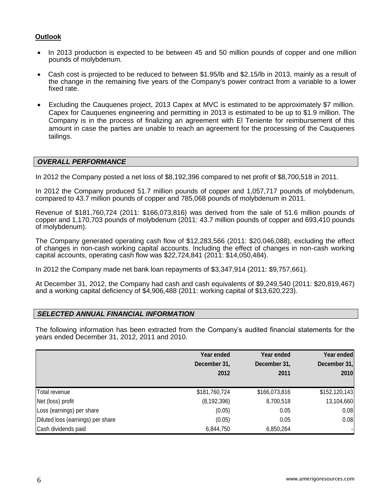# **Outlook**

- In 2013 production is expected to be between 45 and 50 million pounds of copper and one million pounds of molybdenum.
- Cash cost is projected to be reduced to between \$1.95/lb and \$2.15/lb in 2013, mainly as a result of the change in the remaining five years of the Company's power contract from a variable to a lower fixed rate.
- Excluding the Cauquenes project, 2013 Capex at MVC is estimated to be approximately \$7 million. Capex for Cauquenes engineering and permitting in 2013 is estimated to be up to \$1.9 million. The Company is in the process of finalizing an agreement with El Teniente for reimbursement of this amount in case the parties are unable to reach an agreement for the processing of the Cauquenes tailings.

# *OVERALL PERFORMANCE*

In 2012 the Company posted a net loss of \$8,192,396 compared to net profit of \$8,700,518 in 2011.

In 2012 the Company produced 51.7 million pounds of copper and 1,057,717 pounds of molybdenum, compared to 43.7 million pounds of copper and 785,068 pounds of molybdenum in 2011.

Revenue of \$181,760,724 (2011: \$166,073,816) was derived from the sale of 51.6 million pounds of copper and 1,170,703 pounds of molybdenum (2011: 43.7 million pounds of copper and 693,410 pounds of molybdenum).

The Company generated operating cash flow of \$12,283,566 (2011: \$20,046,088), excluding the effect of changes in non-cash working capital accounts. Including the effect of changes in non-cash working capital accounts, operating cash flow was \$22,724,841 (2011: \$14,050,484).

In 2012 the Company made net bank loan repayments of \$3,347,914 (2011: \$9,757,661).

At December 31, 2012, the Company had cash and cash equivalents of \$9,249,540 (2011: \$20,819,467) and a working capital deficiency of \$4,906,488 (2011: working capital of \$13,620,223).

# *SELECTED ANNUAL FINANCIAL INFORMATION*

The following information has been extracted from the Company's audited financial statements for the years ended December 31, 2012, 2011 and 2010.

|                                   | Year ended<br>December 31,<br>2012 | Year ended<br>December 31,<br>2011 | Year ended<br>December 31,<br>2010 |
|-----------------------------------|------------------------------------|------------------------------------|------------------------------------|
| Total revenue                     | \$181,760,724                      | \$166,073,816                      | \$152, 120, 143                    |
| Net (loss) profit                 | (8, 192, 396)                      | 8,700,518                          | 13,104,660                         |
| Loss (earnings) per share         | (0.05)                             | 0.05                               | 0.08                               |
| Diluted loss (earnings) per share | (0.05)                             | 0.05                               | 0.08                               |
| Cash dividends paid               | 6,844,750                          | 6,850,264                          |                                    |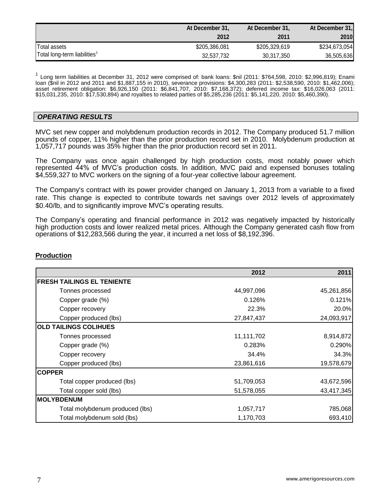|                                          | At December 31, | At December 31, | At December 31, |
|------------------------------------------|-----------------|-----------------|-----------------|
|                                          | 2012            | 2011            | 2010            |
| <b>ITotal assets</b>                     | \$205,386,081   | \$205,329,619   | \$234,673,054   |
| Total long-term liabilities <sup>1</sup> | 32,537,732      | 30,317,350      | 36,505,636      |

<sup>1</sup> Long term liabilities at December 31, 2012 were comprised of: bank loans: \$nil (2011: \$764,598, 2010: \$2,996,819); Enami loan (\$nil in 2012 and 2011 and \$1,887,155 in 2010), severance provisions: \$4,300,283 (2011: \$2,538,590, 2010: \$1,462,006); asset retirement obligation: \$6,926,150 (2011: \$6,841,707, 2010: \$7,168,372); deferred income tax: \$16,026,063 (2011: \$15,031,235, 2010: \$17,530,894) and royalties to related parties of \$5,285,236 (2011: \$5,141,220, 2010: \$5,460,390).

#### *OPERATING RESULTS*

MVC set new copper and molybdenum production records in 2012. The Company produced 51.7 million pounds of copper, 11% higher than the prior production record set in 2010. Molybdenum production at 1,057,717 pounds was 35% higher than the prior production record set in 2011.

The Company was once again challenged by high production costs, most notably power which represented 44% of MVC's production costs. In addition, MVC paid and expensed bonuses totaling \$4,559,327 to MVC workers on the signing of a four-year collective labour agreement.

The Company's contract with its power provider changed on January 1, 2013 from a variable to a fixed rate. This change is expected to contribute towards net savings over 2012 levels of approximately \$0.40/lb, and to significantly improve MVC's operating results.

The Company's operating and financial performance in 2012 was negatively impacted by historically high production costs and lower realized metal prices. Although the Company generated cash flow from operations of \$12,283,566 during the year, it incurred a net loss of \$8,192,396.

|                                   | 2012       | 2011       |
|-----------------------------------|------------|------------|
| <b>FRESH TAILINGS EL TENIENTE</b> |            |            |
| Tonnes processed                  | 44,997,096 | 45,261,856 |
| Copper grade (%)                  | 0.126%     | 0.121%     |
| Copper recovery                   | 22.3%      | 20.0%      |
| Copper produced (lbs)             | 27,847,437 | 24,093,917 |
| <b>OLD TAILINGS COLIHUES</b>      |            |            |
| Tonnes processed                  | 11,111,702 | 8,914,872  |
| Copper grade (%)                  | 0.283%     | 0.290%     |
| Copper recovery                   | 34.4%      | 34.3%      |
| Copper produced (lbs)             | 23,861,616 | 19,578,679 |
| <b>COPPER</b>                     |            |            |
| Total copper produced (lbs)       | 51,709,053 | 43,672,596 |
| Total copper sold (lbs)           | 51,578,055 | 43,417,345 |
| <b>MOLYBDENUM</b>                 |            |            |
| Total molybdenum produced (lbs)   | 1,057,717  | 785,068    |
| Total molybdenum sold (lbs)       | 1,170,703  | 693,410    |

#### **Production**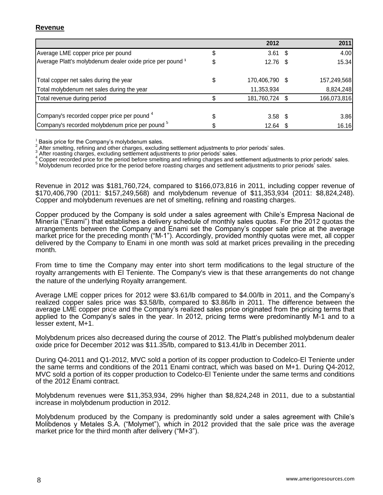# **Revenue**

|                                                            | 2012                 | 2011        |
|------------------------------------------------------------|----------------------|-------------|
| Average LME copper price per pound                         | $3.61$ \$            | 4.00        |
| Average Platt's molybdenum dealer oxide price per pound 1  | $12.76$ \$           | 15.34       |
| Total copper net sales during the year                     | \$<br>170,406,790 \$ | 157,249,568 |
| Total molybdenum net sales during the year                 | 11,353,934           | 8,824,248   |
| Total revenue during period                                | 181,760,724 \$       | 166,073,816 |
| Company's recorded copper price per pound 4                | $3.58$ \$            | 3.86        |
| Company's recorded molybdenum price per pound <sup>5</sup> | $12.64$ \$           | 16.16       |

Basis price for the Company's molybdenum sales.

2 After smelting, refining and other charges, excluding settlement adjustments to prior periods' sales.

3 After roasting charges, excluding settlement adjustments to prior periods' sales.

Copper recorded price for the period before smelting and refining charges and settlement adjustments to prior periods' sales.

<sup>5</sup> Molybdenum recorded price for the period before roasting charges and settlement adjustments to prior periods' sales.

Revenue in 2012 was \$181,760,724, compared to \$166,073,816 in 2011, including copper revenue of \$170,406,790 (2011: \$157,249,568) and molybdenum revenue of \$11,353,934 (2011: \$8,824,248). Copper and molybdenum revenues are net of smelting, refining and roasting charges.

Copper produced by the Company is sold under a sales agreement with Chile's Empresa Nacional de Minería ("Enami") that establishes a delivery schedule of monthly sales quotas. For the 2012 quotas the arrangements between the Company and Enami set the Company's copper sale price at the average market price for the preceding month ("M-1"). Accordingly, provided monthly quotas were met, all copper delivered by the Company to Enami in one month was sold at market prices prevailing in the preceding month.

From time to time the Company may enter into short term modifications to the legal structure of the royalty arrangements with El Teniente. The Company's view is that these arrangements do not change the nature of the underlying Royalty arrangement.

Average LME copper prices for 2012 were \$3.61/lb compared to \$4.00/lb in 2011, and the Company's realized copper sales price was \$3.58/lb, compared to \$3.86/lb in 2011. The difference between the average LME copper price and the Company's realized sales price originated from the pricing terms that applied to the Company's sales in the year. In 2012, pricing terms were predominantly M-1 and to a lesser extent, M+1.

Molybdenum prices also decreased during the course of 2012. The Platt's published molybdenum dealer oxide price for December 2012 was \$11.35/lb, compared to \$13.41/lb in December 2011.

During Q4-2011 and Q1-2012, MVC sold a portion of its copper production to Codelco-El Teniente under the same terms and conditions of the 2011 Enami contract, which was based on M+1. During Q4-2012, MVC sold a portion of its copper production to Codelco-El Teniente under the same terms and conditions of the 2012 Enami contract.

Molybdenum revenues were \$11,353,934, 29% higher than \$8,824,248 in 2011, due to a substantial increase in molybdenum production in 2012.

Molybdenum produced by the Company is predominantly sold under a sales agreement with Chile's Molibdenos y Metales S.A. ("Molymet"), which in 2012 provided that the sale price was the average market price for the third month after delivery ("M+3").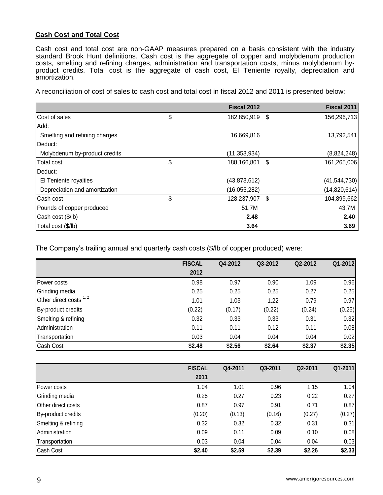# **Cash Cost and Total Cost**

Cash cost and total cost are non-GAAP measures prepared on a basis consistent with the industry standard Brook Hunt definitions. Cash cost is the aggregate of copper and molybdenum production costs, smelting and refining charges, administration and transportation costs, minus molybdenum byproduct credits. Total cost is the aggregate of cash cost, El Teniente royalty, depreciation and amortization.

A reconciliation of cost of sales to cash cost and total cost in fiscal 2012 and 2011 is presented below:

|                               | Fiscal 2012          | <b>Fiscal 2011</b> |
|-------------------------------|----------------------|--------------------|
| Cost of sales                 | \$<br>182,850,919 \$ | 156,296,713        |
| Add:                          |                      |                    |
| Smelting and refining charges | 16,669,816           | 13,792,541         |
| Deduct:                       |                      |                    |
| Molybdenum by-product credits | (11, 353, 934)       | (8,824,248)        |
| <b>Total cost</b>             | \$<br>188,166,801 \$ | 161,265,006        |
| <b>I</b> Deduct:              |                      |                    |
| El Teniente royalties         | (43,873,612)         | (41, 544, 730)     |
| Depreciation and amortization | (16,055,282)         | (14,820,614)       |
| Cash cost                     | \$<br>128,237,907 \$ | 104,899,662        |
| Pounds of copper produced     | 51.7M                | 43.7M              |
| Cash cost (\$/lb)             | 2.48                 | 2.40               |
| Total cost (\$/lb)            | 3.64                 | 3.69               |

The Company's trailing annual and quarterly cash costs (\$/lb of copper produced) were:

|                           | <b>FISCAL</b> | Q4-2012 | Q3-2012 | Q2-2012 | Q1-2012 |
|---------------------------|---------------|---------|---------|---------|---------|
|                           | 2012          |         |         |         |         |
| Power costs               | 0.98          | 0.97    | 0.90    | 1.09    | 0.96    |
| Grinding media            | 0.25          | 0.25    | 0.25    | 0.27    | 0.25    |
| Other direct costs $1, 2$ | 1.01          | 1.03    | 1.22    | 0.79    | 0.97    |
| By-product credits        | (0.22)        | (0.17)  | (0.22)  | (0.24)  | (0.25)  |
| Smelting & refining       | 0.32          | 0.33    | 0.33    | 0.31    | 0.32    |
| Administration            | 0.11          | 0.11    | 0.12    | 0.11    | 0.08    |
| Transportation            | 0.03          | 0.04    | 0.04    | 0.04    | 0.02    |
| Cash Cost                 | \$2.48        | \$2.56  | \$2.64  | \$2.37  | \$2.35  |

|                     | <b>FISCAL</b> | Q4-2011 | Q3-2011 | Q2-2011 | Q1-2011 |
|---------------------|---------------|---------|---------|---------|---------|
|                     | 2011          |         |         |         |         |
| Power costs         | 1.04          | 1.01    | 0.96    | 1.15    | 1.04    |
| Grinding media      | 0.25          | 0.27    | 0.23    | 0.22    | 0.27    |
| Other direct costs  | 0.87          | 0.97    | 0.91    | 0.71    | 0.87    |
| By-product credits  | (0.20)        | (0.13)  | (0.16)  | (0.27)  | (0.27)  |
| Smelting & refining | 0.32          | 0.32    | 0.32    | 0.31    | 0.31    |
| Administration      | 0.09          | 0.11    | 0.09    | 0.10    | 0.08    |
| Transportation      | 0.03          | 0.04    | 0.04    | 0.04    | 0.03    |
| Cash Cost           | \$2.40        | \$2.59  | \$2.39  | \$2.26  | \$2.33  |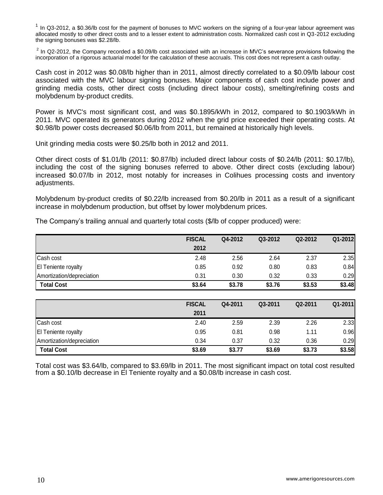$1$  In Q3-2012, a \$0.36/lb cost for the payment of bonuses to MVC workers on the signing of a four-year labour agreement was allocated mostly to other direct costs and to a lesser extent to administration costs. Normalized cash cost in Q3-2012 excluding the signing bonuses was \$2.28/lb.

 $2$  In Q2-2012, the Company recorded a \$0.09/lb cost associated with an increase in MVC's severance provisions following the incorporation of a rigorous actuarial model for the calculation of these accruals. This cost does not represent a cash outlay.

Cash cost in 2012 was \$0.08/lb higher than in 2011, almost directly correlated to a \$0.09/lb labour cost associated with the MVC labour signing bonuses. Major components of cash cost include power and grinding media costs, other direct costs (including direct labour costs), smelting/refining costs and molybdenum by-product credits.

Power is MVC's most significant cost, and was \$0.1895/kWh in 2012, compared to \$0.1903/kWh in 2011. MVC operated its generators during 2012 when the grid price exceeded their operating costs. At \$0.98/lb power costs decreased \$0.06/lb from 2011, but remained at historically high levels.

Unit grinding media costs were \$0.25/lb both in 2012 and 2011.

Other direct costs of \$1.01/lb (2011: \$0.87/lb) included direct labour costs of \$0.24/lb (2011: \$0.17/lb), including the cost of the signing bonuses referred to above. Other direct costs (excluding labour) increased \$0.07/lb in 2012, most notably for increases in Colihues processing costs and inventory adjustments.

Molybdenum by-product credits of \$0.22/lb increased from \$0.20/lb in 2011 as a result of a significant increase in molybdenum production, but offset by lower molybdenum prices.

|                            | <b>FISCAL</b> | Q4-2012 | Q3-2012 | Q2-2012 | Q1-2012 |
|----------------------------|---------------|---------|---------|---------|---------|
|                            | 2012          |         |         |         |         |
| Cash cost                  | 2.48          | 2.56    | 2.64    | 2.37    | 2.35    |
| <b>El Teniente royalty</b> | 0.85          | 0.92    | 0.80    | 0.83    | 0.84    |
| Amortization/depreciation  | 0.31          | 0.30    | 0.32    | 0.33    | 0.29    |
| <b>Total Cost</b>          | \$3.64        | \$3.78  | \$3.76  | \$3.53  | \$3.48  |
|                            |               |         |         |         |         |

The Company's trailing annual and quarterly total costs (\$/lb of copper produced) were:

|                            | <b>FISCAL</b> | Q4-2011 | Q3-2011 | Q2-2011 | Q1-2011 |
|----------------------------|---------------|---------|---------|---------|---------|
|                            | 2011          |         |         |         |         |
| Cash cost                  | 2.40          | 2.59    | 2.39    | 2.26    | 2.33    |
| <b>El Teniente royalty</b> | 0.95          | 0.81    | 0.98    | 1.11    | 0.96    |
| Amortization/depreciation  | 0.34          | 0.37    | 0.32    | 0.36    | 0.29    |
| <b>Total Cost</b>          | \$3.69        | \$3.77  | \$3.69  | \$3.73  | \$3.58  |

Total cost was \$3.64/lb, compared to \$3.69/lb in 2011. The most significant impact on total cost resulted from a \$0.10/lb decrease in El Teniente royalty and a \$0.08/lb increase in cash cost.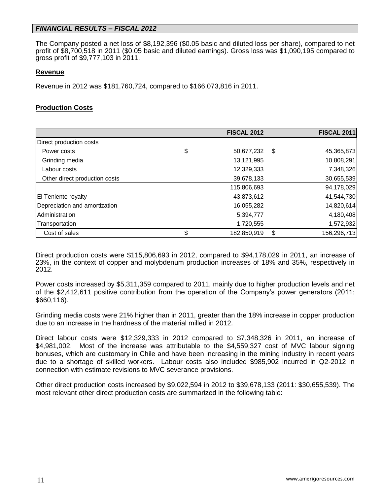# *FINANCIAL RESULTS – FISCAL 2012*

The Company posted a net loss of \$8,192,396 (\$0.05 basic and diluted loss per share), compared to net profit of \$8,700,518 in 2011 (\$0.05 basic and diluted earnings). Gross loss was \$1,090,195 compared to gross profit of \$9,777,103 in 2011.

#### **Revenue**

Revenue in 2012 was \$181,760,724, compared to \$166,073,816 in 2011.

# **Production Costs**

|                               | <b>FISCAL 2012</b> | <b>FISCAL 2011</b> |
|-------------------------------|--------------------|--------------------|
| Direct production costs       |                    |                    |
| Power costs                   | \$<br>50,677,232   | \$<br>45,365,873   |
| Grinding media                | 13,121,995         | 10,808,291         |
| Labour costs                  | 12,329,333         | 7,348,326          |
| Other direct production costs | 39,678,133         | 30,655,539         |
|                               | 115,806,693        | 94,178,029         |
| <b>El Teniente royalty</b>    | 43,873,612         | 41,544,730         |
| Depreciation and amortization | 16,055,282         | 14,820,614         |
| Administration                | 5,394,777          | 4,180,408          |
| Transportation                | 1,720,555          | 1,572,932          |
| Cost of sales                 | \$<br>182,850,919  | \$<br>156,296,713  |

Direct production costs were \$115,806,693 in 2012, compared to \$94,178,029 in 2011, an increase of 23%, in the context of copper and molybdenum production increases of 18% and 35%, respectively in 2012.

Power costs increased by \$5,311,359 compared to 2011, mainly due to higher production levels and net of the \$2,412,611 positive contribution from the operation of the Company's power generators (2011: \$660,116).

Grinding media costs were 21% higher than in 2011, greater than the 18% increase in copper production due to an increase in the hardness of the material milled in 2012.

Direct labour costs were \$12,329,333 in 2012 compared to \$7,348,326 in 2011, an increase of \$4,981,002. Most of the increase was attributable to the \$4,559,327 cost of MVC labour signing bonuses, which are customary in Chile and have been increasing in the mining industry in recent years due to a shortage of skilled workers. Labour costs also included \$985,902 incurred in Q2-2012 in connection with estimate revisions to MVC severance provisions.

Other direct production costs increased by \$9,022,594 in 2012 to \$39,678,133 (2011: \$30,655,539). The most relevant other direct production costs are summarized in the following table: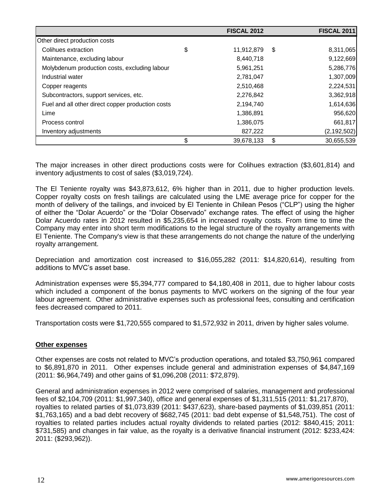|                                                   | <b>FISCAL 2012</b> | <b>FISCAL 2011</b> |
|---------------------------------------------------|--------------------|--------------------|
| Other direct production costs                     |                    |                    |
| Colihues extraction                               | \$<br>11,912,879   | \$<br>8,311,065    |
| Maintenance, excluding labour                     | 8,440,718          | 9,122,669          |
| Molybdenum production costs, excluding labour     | 5,961,251          | 5,286,776          |
| Industrial water                                  | 2,781,047          | 1,307,009          |
| Copper reagents                                   | 2,510,468          | 2,224,531          |
| Subcontractors, support services, etc.            | 2,276,842          | 3,362,918          |
| Fuel and all other direct copper production costs | 2,194,740          | 1,614,636          |
| Lime                                              | 1,386,891          | 956,620            |
| Process control                                   | 1,386,075          | 661,817            |
| Inventory adjustments                             | 827,222            | (2, 192, 502)      |
|                                                   | \$<br>39,678,133   | \$<br>30,655,539   |

The major increases in other direct productions costs were for Colihues extraction (\$3,601,814) and inventory adjustments to cost of sales (\$3,019,724).

The El Teniente royalty was \$43,873,612, 6% higher than in 2011, due to higher production levels. Copper royalty costs on fresh tailings are calculated using the LME average price for copper for the month of delivery of the tailings, and invoiced by El Teniente in Chilean Pesos ("CLP") using the higher of either the "Dolar Acuerdo" or the "Dolar Observado" exchange rates. The effect of using the higher Dolar Acuerdo rates in 2012 resulted in \$5,235,654 in increased royalty costs. From time to time the Company may enter into short term modifications to the legal structure of the royalty arrangements with El Teniente. The Company's view is that these arrangements do not change the nature of the underlying royalty arrangement.

Depreciation and amortization cost increased to \$16,055,282 (2011: \$14,820,614), resulting from additions to MVC's asset base.

Administration expenses were \$5,394,777 compared to \$4,180,408 in 2011, due to higher labour costs which included a component of the bonus payments to MVC workers on the signing of the four year labour agreement. Other administrative expenses such as professional fees, consulting and certification fees decreased compared to 2011.

Transportation costs were \$1,720,555 compared to \$1,572,932 in 2011, driven by higher sales volume.

# **Other expenses**

Other expenses are costs not related to MVC's production operations, and totaled \$3,750,961 compared to \$6,891,870 in 2011. Other expenses include general and administration expenses of \$4,847,169 (2011: \$6,964,749) and other gains of \$1,096,208 (2011: \$72,879).

General and administration expenses in 2012 were comprised of salaries, management and professional fees of \$2,104,709 (2011: \$1,997,340), office and general expenses of \$1,311,515 (2011: \$1,217,870), royalties to related parties of \$1,073,839 (2011: \$437,623), share-based payments of \$1,039,851 (2011: \$1,763,165) and a bad debt recovery of \$682,745 (2011: bad debt expense of \$1,548,751). The cost of royalties to related parties includes actual royalty dividends to related parties (2012: \$840,415; 2011: \$731,585) and changes in fair value, as the royalty is a derivative financial instrument (2012: \$233,424: 2011: (\$293,962)).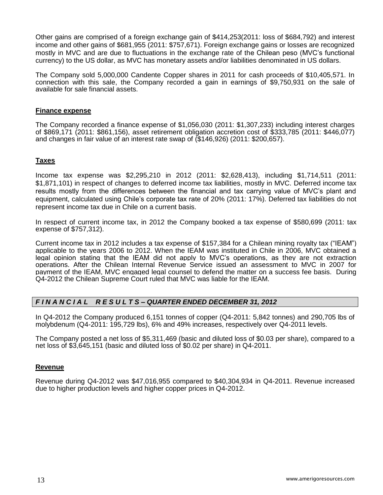Other gains are comprised of a foreign exchange gain of \$414,253(2011: loss of \$684,792) and interest income and other gains of \$681,955 (2011: \$757,671). Foreign exchange gains or losses are recognized mostly in MVC and are due to fluctuations in the exchange rate of the Chilean peso (MVC's functional currency) to the US dollar, as MVC has monetary assets and/or liabilities denominated in US dollars.

The Company sold 5,000,000 Candente Copper shares in 2011 for cash proceeds of \$10,405,571. In connection with this sale, the Company recorded a gain in earnings of \$9,750,931 on the sale of available for sale financial assets.

#### **Finance expense**

The Company recorded a finance expense of \$1,056,030 (2011: \$1,307,233) including interest charges of \$869,171 (2011: \$861,156), asset retirement obligation accretion cost of \$333,785 (2011: \$446,077) and changes in fair value of an interest rate swap of (\$146,926) (2011: \$200,657).

### **Taxes**

Income tax expense was \$2,295,210 in 2012 (2011: \$2,628,413), including \$1,714,511 (2011: \$1,871,101) in respect of changes to deferred income tax liabilities, mostly in MVC. Deferred income tax results mostly from the differences between the financial and tax carrying value of MVC's plant and equipment, calculated using Chile's corporate tax rate of 20% (2011: 17%). Deferred tax liabilities do not represent income tax due in Chile on a current basis.

In respect of current income tax, in 2012 the Company booked a tax expense of \$580,699 (2011: tax expense of \$757,312).

Current income tax in 2012 includes a tax expense of \$157,384 for a Chilean mining royalty tax ("IEAM") applicable to the years 2006 to 2012. When the IEAM was instituted in Chile in 2006, MVC obtained a legal opinion stating that the IEAM did not apply to MVC's operations, as they are not extraction operations. After the Chilean Internal Revenue Service issued an assessment to MVC in 2007 for payment of the IEAM, MVC engaged legal counsel to defend the matter on a success fee basis. During Q4-2012 the Chilean Supreme Court ruled that MVC was liable for the IEAM.

# *F I N A N C I A L R E S U L T S – QUARTER ENDED DECEMBER 31, 2012*

In Q4-2012 the Company produced 6,151 tonnes of copper (Q4-2011: 5,842 tonnes) and 290,705 lbs of molybdenum (Q4-2011: 195,729 lbs), 6% and 49% increases, respectively over Q4-2011 levels.

The Company posted a net loss of \$5,311,469 (basic and diluted loss of \$0.03 per share), compared to a net loss of \$3,645,151 (basic and diluted loss of \$0.02 per share) in Q4-2011.

#### **Revenue**

Revenue during Q4-2012 was \$47,016,955 compared to \$40,304,934 in Q4-2011. Revenue increased due to higher production levels and higher copper prices in Q4-2012.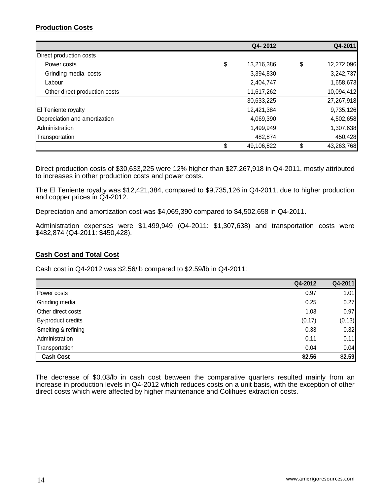# **Production Costs**

|                               | Q4-2012          | Q4-2011          |
|-------------------------------|------------------|------------------|
| Direct production costs       |                  |                  |
| Power costs                   | \$<br>13,216,386 | \$<br>12,272,096 |
| Grinding media costs          | 3,394,830        | 3,242,737        |
| Labour                        | 2,404,747        | 1,658,673        |
| Other direct production costs | 11,617,262       | 10,094,412       |
|                               | 30,633,225       | 27,267,918       |
| El Teniente royalty           | 12,421,384       | 9,735,126        |
| Depreciation and amortization | 4,069,390        | 4,502,658        |
| Administration                | 1,499,949        | 1,307,638        |
| Transportation                | 482,874          | 450,428          |
|                               | \$<br>49,106,822 | \$<br>43,263,768 |

Direct production costs of \$30,633,225 were 12% higher than \$27,267,918 in Q4-2011, mostly attributed to increases in other production costs and power costs.

The El Teniente royalty was \$12,421,384, compared to \$9,735,126 in Q4-2011, due to higher production and copper prices in Q4-2012.

Depreciation and amortization cost was \$4,069,390 compared to \$4,502,658 in Q4-2011.

Administration expenses were \$1,499,949 (Q4-2011: \$1,307,638) and transportation costs were \$482,874 (Q4-2011: \$450,428).

# **Cash Cost and Total Cost**

Cash cost in Q4-2012 was \$2.56/lb compared to \$2.59/lb in Q4-2011:

|                     | Q4-2012 | Q4-2011 |
|---------------------|---------|---------|
| Power costs         | 0.97    | 1.01    |
| Grinding media      | 0.25    | 0.27    |
| Other direct costs  | 1.03    | 0.97    |
| By-product credits  | (0.17)  | (0.13)  |
| Smelting & refining | 0.33    | 0.32    |
| Administration      | 0.11    | 0.11    |
| Transportation      | 0.04    | 0.04    |
| <b>Cash Cost</b>    | \$2.56  | \$2.59  |

The decrease of \$0.03/lb in cash cost between the comparative quarters resulted mainly from an increase in production levels in Q4-2012 which reduces costs on a unit basis, with the exception of other direct costs which were affected by higher maintenance and Colihues extraction costs.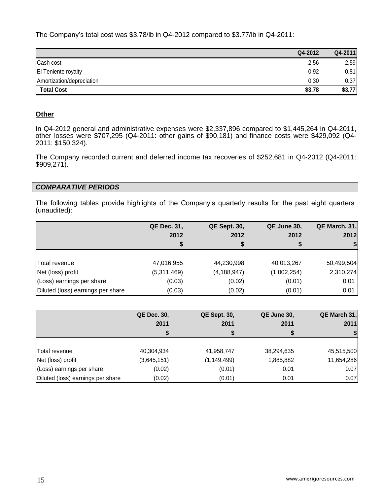The Company's total cost was \$3.78/lb in Q4-2012 compared to \$3.77/lb in Q4-2011:

|                           | Q4-2012 | Q4-2011 |
|---------------------------|---------|---------|
| Cash cost                 | 2.56    | 2.59    |
| El Teniente royalty       | 0.92    | 0.81    |
| Amortization/depreciation | 0.30    | 0.37    |
| <b>Total Cost</b>         | \$3.78  | \$3.77  |

## **Other**

In Q4-2012 general and administrative expenses were \$2,337,896 compared to \$1,445,264 in Q4-2011, other losses were \$707,295 (Q4-2011: other gains of \$90,181) and finance costs were \$429,092 (Q4- 2011: \$150,324).

The Company recorded current and deferred income tax recoveries of \$252,681 in Q4-2012 (Q4-2011: \$909,271).

#### *COMPARATIVE PERIODS*

The following tables provide highlights of the Company's quarterly results for the past eight quarters (unaudited):

|                                   | <b>QE Dec. 31,</b> | <b>QE Sept. 30,</b> | QE June 30, | QE March. 31, |
|-----------------------------------|--------------------|---------------------|-------------|---------------|
|                                   | 2012               | 2012                | 2012        | 2012          |
|                                   | S                  |                     |             |               |
|                                   |                    |                     |             |               |
| <b>Total revenue</b>              | 47,016,955         | 44,230,998          | 40,013,267  | 50,499,504    |
| Net (loss) profit                 | (5,311,469)        | (4, 188, 947)       | (1,002,254) | 2,310,274     |
| (Loss) earnings per share         | (0.03)             | (0.02)              | (0.01)      | 0.01          |
| Diluted (loss) earnings per share | (0.03)             | (0.02)              | (0.01)      | 0.01          |

|                                   | <b>QE Dec. 30,</b><br>2011<br>S | <b>QE Sept. 30,</b><br>2011 | QE June 30,<br>2011 | QE March 31,<br>2011 |
|-----------------------------------|---------------------------------|-----------------------------|---------------------|----------------------|
| Total revenue                     | 40,304,934                      | 41,958,747                  | 38,294,635          | 45,515,500           |
| Net (loss) profit                 | (3,645,151)                     | (1, 149, 499)               | 1,885,882           | 11,654,286           |
| (Loss) earnings per share         | (0.02)                          | (0.01)                      | 0.01                | 0.07                 |
| Diluted (loss) earnings per share | (0.02)                          | (0.01)                      | 0.01                | 0.07                 |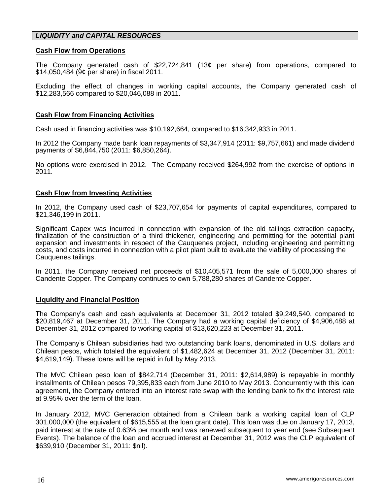# *LIQUIDITY and CAPITAL RESOURCES*

#### **Cash Flow from Operations**

The Company generated cash of \$22,724,841 (13¢ per share) from operations, compared to \$14,050,484 (9¢ per share) in fiscal 2011.

Excluding the effect of changes in working capital accounts, the Company generated cash of \$12,283,566 compared to \$20,046,088 in 2011.

#### **Cash Flow from Financing Activities**

Cash used in financing activities was \$10,192,664, compared to \$16,342,933 in 2011.

In 2012 the Company made bank loan repayments of \$3,347,914 (2011: \$9,757,661) and made dividend payments of \$6,844,750 (2011: \$6,850,264).

No options were exercised in 2012. The Company received \$264,992 from the exercise of options in 2011.

#### **Cash Flow from Investing Activities**

In 2012, the Company used cash of \$23,707,654 for payments of capital expenditures, compared to \$21,346,199 in 2011.

Significant Capex was incurred in connection with expansion of the old tailings extraction capacity, finalization of the construction of a third thickener, engineering and permitting for the potential plant expansion and investments in respect of the Cauquenes project, including engineering and permitting costs, and costs incurred in connection with a pilot plant built to evaluate the viability of processing the Cauquenes tailings.

In 2011, the Company received net proceeds of \$10,405,571 from the sale of 5,000,000 shares of Candente Copper. The Company continues to own 5,788,280 shares of Candente Copper.

#### **Liquidity and Financial Position**

The Company's cash and cash equivalents at December 31, 2012 totaled \$9,249,540, compared to \$20,819,467 at December 31, 2011. The Company had a working capital deficiency of \$4,906,488 at December 31, 2012 compared to working capital of \$13,620,223 at December 31, 2011.

The Company's Chilean subsidiaries had two outstanding bank loans, denominated in U.S. dollars and Chilean pesos, which totaled the equivalent of \$1,482,624 at December 31, 2012 (December 31, 2011: \$4,619,149). These loans will be repaid in full by May 2013.

The MVC Chilean peso loan of \$842,714 (December 31, 2011: \$2,614,989) is repayable in monthly installments of Chilean pesos 79,395,833 each from June 2010 to May 2013. Concurrently with this loan agreement, the Company entered into an interest rate swap with the lending bank to fix the interest rate at 9.95% over the term of the loan.

In January 2012, MVC Generacion obtained from a Chilean bank a working capital loan of CLP 301,000,000 (the equivalent of \$615,555 at the loan grant date). This loan was due on January 17, 2013, paid interest at the rate of 0.63% per month and was renewed subsequent to year end (see Subsequent Events). The balance of the loan and accrued interest at December 31, 2012 was the CLP equivalent of \$639,910 (December 31, 2011: \$nil).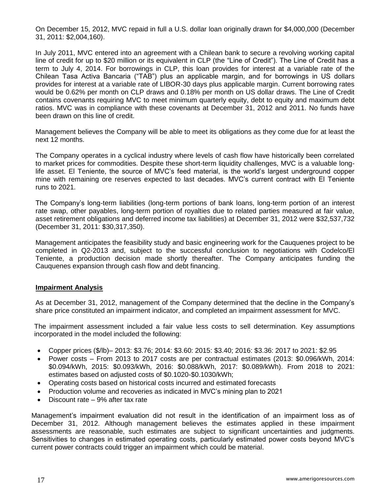On December 15, 2012, MVC repaid in full a U.S. dollar loan originally drawn for \$4,000,000 (December 31, 2011: \$2,004,160).

In July 2011, MVC entered into an agreement with a Chilean bank to secure a revolving working capital line of credit for up to \$20 million or its equivalent in CLP (the "Line of Credit"). The Line of Credit has a term to July 4, 2014. For borrowings in CLP, this loan provides for interest at a variable rate of the Chilean Tasa Activa Bancaria ("TAB") plus an applicable margin, and for borrowings in US dollars provides for interest at a variable rate of LIBOR-30 days plus applicable margin. Current borrowing rates would be 0.62% per month on CLP draws and 0.18% per month on US dollar draws. The Line of Credit contains covenants requiring MVC to meet minimum quarterly equity, debt to equity and maximum debt ratios. MVC was in compliance with these covenants at December 31, 2012 and 2011. No funds have been drawn on this line of credit.

Management believes the Company will be able to meet its obligations as they come due for at least the next 12 months.

The Company operates in a cyclical industry where levels of cash flow have historically been correlated to market prices for commodities. Despite these short-term liquidity challenges, MVC is a valuable longlife asset. El Teniente, the source of MVC's feed material, is the world's largest underground copper mine with remaining ore reserves expected to last decades. MVC's current contract with El Teniente runs to 2021.

The Company's long-term liabilities (long-term portions of bank loans, long-term portion of an interest rate swap, other payables, long-term portion of royalties due to related parties measured at fair value, asset retirement obligations and deferred income tax liabilities) at December 31, 2012 were \$32,537,732 (December 31, 2011: \$30,317,350).

Management anticipates the feasibility study and basic engineering work for the Cauquenes project to be completed in Q2-2013 and, subject to the successful conclusion to negotiations with Codelco/El Teniente, a production decision made shortly thereafter. The Company anticipates funding the Cauquenes expansion through cash flow and debt financing.

#### **Impairment Analysis**

As at December 31, 2012, management of the Company determined that the decline in the Company's share price constituted an impairment indicator, and completed an impairment assessment for MVC.

The impairment assessment included a fair value less costs to sell determination. Key assumptions incorporated in the model included the following:

- Copper prices (\$/lb)– 2013: \$3.76; 2014: \$3.60: 2015: \$3.40; 2016: \$3.36: 2017 to 2021: \$2.95
- Power costs From 2013 to 2017 costs are per contractual estimates (2013: \$0.096/kWh, 2014: \$0.094/kWh, 2015: \$0.093/kWh, 2016: \$0.088/kWh, 2017: \$0.089/kWh). From 2018 to 2021: estimates based on adjusted costs of \$0.1020-\$0.1030/kWh;
- Operating costs based on historical costs incurred and estimated forecasts
- Production volume and recoveries as indicated in MVC's mining plan to 2021
- Discount rate 9% after tax rate

Management's impairment evaluation did not result in the identification of an impairment loss as of December 31, 2012. Although management believes the estimates applied in these impairment assessments are reasonable, such estimates are subject to significant uncertainties and judgments. Sensitivities to changes in estimated operating costs, particularly estimated power costs beyond MVC's current power contracts could trigger an impairment which could be material.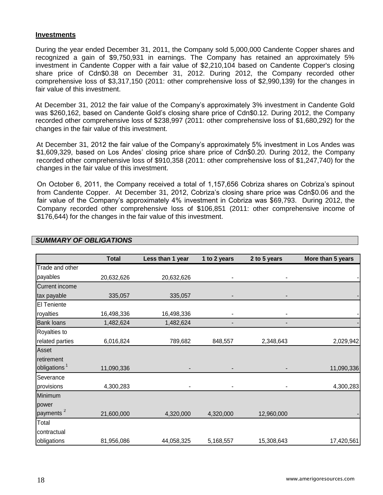#### **Investments**

During the year ended December 31, 2011, the Company sold 5,000,000 Candente Copper shares and recognized a gain of \$9,750,931 in earnings. The Company has retained an approximately 5% investment in Candente Copper with a fair value of \$2,210,104 based on Candente Copper's closing share price of Cdn\$0.38 on December 31, 2012. During 2012, the Company recorded other comprehensive loss of \$3,317,150 (2011: other comprehensive loss of \$2,990,139) for the changes in fair value of this investment.

At December 31, 2012 the fair value of the Company's approximately 3% investment in Candente Gold was \$260,162, based on Candente Gold's closing share price of Cdn\$0.12. During 2012, the Company recorded other comprehensive loss of \$238,997 (2011: other comprehensive loss of \$1,680,292) for the changes in the fair value of this investment.

At December 31, 2012 the fair value of the Company's approximately 5% investment in Los Andes was \$1,609,329, based on Los Andes' closing price share price of Cdn\$0.20. During 2012, the Company recorded other comprehensive loss of \$910,358 (2011: other comprehensive loss of \$1,247,740) for the changes in the fair value of this investment.

On October 6, 2011, the Company received a total of 1,157,656 Cobriza shares on Cobriza's spinout from Candente Copper. At December 31, 2012, Cobriza's closing share price was Cdn\$0.06 and the fair value of the Company's approximately 4% investment in Cobriza was \$69,793. During 2012, the Company recorded other comprehensive loss of \$106,851 (2011: other comprehensive income of \$176,644) for the changes in the fair value of this investment.

|                          | <b>Total</b> | Less than 1 year | 1 to 2 years | 2 to 5 years | More than 5 years |
|--------------------------|--------------|------------------|--------------|--------------|-------------------|
| Trade and other          |              |                  |              |              |                   |
| payables                 | 20,632,626   | 20,632,626       | ۰            |              |                   |
| <b>Current income</b>    |              |                  |              |              |                   |
| tax payable              | 335,057      | 335,057          |              |              |                   |
| El Teniente              |              |                  |              |              |                   |
| royalties                | 16,498,336   | 16,498,336       | ۰            |              |                   |
| <b>Bank loans</b>        | 1,482,624    | 1,482,624        |              |              |                   |
| Royalties to             |              |                  |              |              |                   |
| related parties          | 6,016,824    | 789,682          | 848,557      | 2,348,643    | 2,029,942         |
| Asset                    |              |                  |              |              |                   |
| retirement               |              |                  |              |              |                   |
| obligations <sup>1</sup> | 11,090,336   |                  |              |              | 11,090,336        |
| Severance                |              |                  |              |              |                   |
| provisions               | 4,300,283    | ۰                |              |              | 4,300,283         |
| Minimum                  |              |                  |              |              |                   |
| power                    |              |                  |              |              |                   |
| payments <sup>2</sup>    | 21,600,000   | 4,320,000        | 4,320,000    | 12,960,000   |                   |
| Total                    |              |                  |              |              |                   |
| contractual              |              |                  |              |              |                   |
| obligations              | 81,956,086   | 44,058,325       | 5,168,557    | 15,308,643   | 17,420,561        |

# *SUMMARY OF OBLIGATIONS*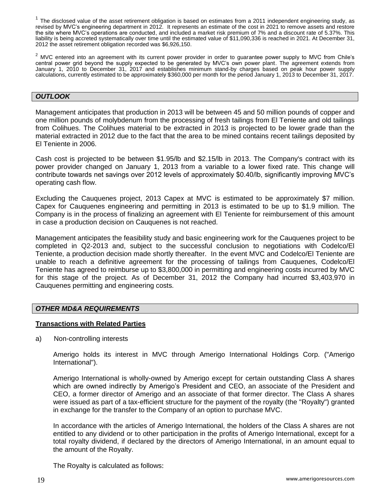$1$  The disclosed value of the asset retirement obligation is based on estimates from a 2011 independent engineering study, as revised by MVC's engineering department in 2012. It represents an estimate of the cost in 2021 to remove assets and restore the site where MVC's operations are conducted, and included a market risk premium of 7% and a discount rate of 5.37%. This liability is being accreted systematically over time until the estimated value of \$11,090,336 is reached in 2021. At December 31, 2012 the asset retirement obligation recorded was \$6,926,150.

<sup>2</sup> MVC entered into an agreement with its current power provider in order to guarantee power supply to MVC from Chile's central power grid beyond the supply expected to be generated by MVC's own power plant. The agreement extends from January 1, 2010 to December 31, 2017 and establishes minimum stand-by charges based on peak hour power supply calculations, currently estimated to be approximately \$360,000 per month for the period January 1, 2013 to December 31, 2017.

### *OUTLOOK*

Management anticipates that production in 2013 will be between 45 and 50 million pounds of copper and one million pounds of molybdenum from the processing of fresh tailings from El Teniente and old tailings from Colihues. The Colihues material to be extracted in 2013 is projected to be lower grade than the material extracted in 2012 due to the fact that the area to be mined contains recent tailings deposited by El Teniente in 2006.

Cash cost is projected to be between \$1.95/lb and \$2.15/lb in 2013. The Company's contract with its power provider changed on January 1, 2013 from a variable to a lower fixed rate. This change will contribute towards net savings over 2012 levels of approximately \$0.40/lb, significantly improving MVC's operating cash flow.

Excluding the Cauquenes project, 2013 Capex at MVC is estimated to be approximately \$7 million. Capex for Cauquenes engineering and permitting in 2013 is estimated to be up to \$1.9 million. The Company is in the process of finalizing an agreement with El Teniente for reimbursement of this amount in case a production decision on Cauquenes is not reached.

Management anticipates the feasibility study and basic engineering work for the Cauquenes project to be completed in Q2-2013 and, subject to the successful conclusion to negotiations with Codelco/El Teniente, a production decision made shortly thereafter. In the event MVC and Codelco/El Teniente are unable to reach a definitive agreement for the processing of tailings from Cauquenes, Codelco/El Teniente has agreed to reimburse up to \$3,800,000 in permitting and engineering costs incurred by MVC for this stage of the project. As of December 31, 2012 the Company had incurred \$3,403,970 in Cauquenes permitting and engineering costs.

#### *OTHER MD&A REQUIREMENTS*

#### **Transactions with Related Parties**

a) Non-controlling interests

Amerigo holds its interest in MVC through Amerigo International Holdings Corp. ("Amerigo International").

Amerigo International is wholly-owned by Amerigo except for certain outstanding Class A shares which are owned indirectly by Amerigo's President and CEO, an associate of the President and CEO, a former director of Amerigo and an associate of that former director. The Class A shares were issued as part of a tax-efficient structure for the payment of the royalty (the "Royalty") granted in exchange for the transfer to the Company of an option to purchase MVC.

In accordance with the articles of Amerigo International, the holders of the Class A shares are not entitled to any dividend or to other participation in the profits of Amerigo International, except for a total royalty dividend, if declared by the directors of Amerigo International, in an amount equal to the amount of the Royalty.

The Royalty is calculated as follows: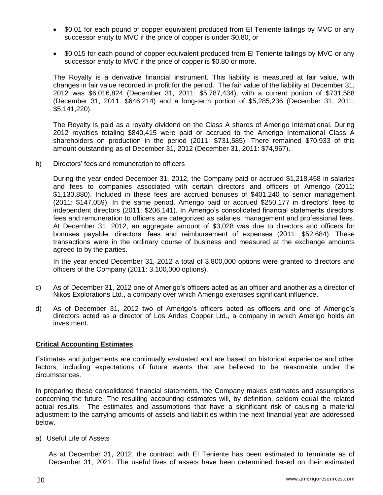- \$0.01 for each pound of copper equivalent produced from El Teniente tailings by MVC or any successor entity to MVC if the price of copper is under \$0.80, or
- \$0.015 for each pound of copper equivalent produced from El Teniente tailings by MVC or any successor entity to MVC if the price of copper is \$0.80 or more.

The Royalty is a derivative financial instrument. This liability is measured at fair value, with changes in fair value recorded in profit for the period. The fair value of the liability at December 31, 2012 was \$6,016,824 (December 31, 2011: \$5,787,434), with a current portion of \$731,588 (December 31, 2011: \$646,214) and a long-term portion of \$5,285,236 (December 31, 2011: \$5,141,220).

The Royalty is paid as a royalty dividend on the Class A shares of Amerigo International. During 2012 royalties totaling \$840,415 were paid or accrued to the Amerigo International Class A shareholders on production in the period (2011: \$731,585). There remained \$70,933 of this amount outstanding as of December 31, 2012 (December 31, 2011: \$74,967).

b) Directors' fees and remuneration to officers

During the year ended December 31, 2012, the Company paid or accrued \$1,218,458 in salaries and fees to companies associated with certain directors and officers of Amerigo (2011: \$1,130,880). Included in these fees are accrued bonuses of \$401,240 to senior management (2011: \$147,059). In the same period, Amerigo paid or accrued \$250,177 in directors' fees to independent directors (2011: \$206,141). In Amerigo's consolidated financial statements directors' fees and remuneration to officers are categorized as salaries, management and professional fees. At December 31, 2012, an aggregate amount of \$3,028 was due to directors and officers for bonuses payable, directors' fees and reimbursement of expenses (2011: \$52,684). These transactions were in the ordinary course of business and measured at the exchange amounts agreed to by the parties.

In the year ended December 31, 2012 a total of 3,800,000 options were granted to directors and officers of the Company (2011: 3,100,000 options).

- c) As of December 31, 2012 one of Amerigo's officers acted as an officer and another as a director of Nikos Explorations Ltd., a company over which Amerigo exercises significant influence.
- d) As of December 31, 2012 two of Amerigo's officers acted as officers and one of Amerigo's directors acted as a director of Los Andes Copper Ltd., a company in which Amerigo holds an investment.

# **Critical Accounting Estimates**

Estimates and judgements are continually evaluated and are based on historical experience and other factors, including expectations of future events that are believed to be reasonable under the circumstances.

In preparing these consolidated financial statements, the Company makes estimates and assumptions concerning the future. The resulting accounting estimates will, by definition, seldom equal the related actual results. The estimates and assumptions that have a significant risk of causing a material adjustment to the carrying amounts of assets and liabilities within the next financial year are addressed below.

#### a) Useful Life of Assets

As at December 31, 2012, the contract with El Teniente has been estimated to terminate as of December 31, 2021. The useful lives of assets have been determined based on their estimated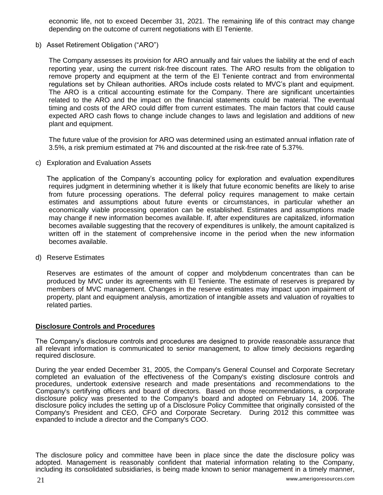economic life, not to exceed December 31, 2021. The remaining life of this contract may change depending on the outcome of current negotiations with El Teniente.

b) Asset Retirement Obligation ("ARO")

The Company assesses its provision for ARO annually and fair values the liability at the end of each reporting year, using the current risk-free discount rates. The ARO results from the obligation to remove property and equipment at the term of the El Teniente contract and from environmental regulations set by Chilean authorities. AROs include costs related to MVC's plant and equipment. The ARO is a critical accounting estimate for the Company. There are significant uncertainties related to the ARO and the impact on the financial statements could be material. The eventual timing and costs of the ARO could differ from current estimates. The main factors that could cause expected ARO cash flows to change include changes to laws and legislation and additions of new plant and equipment.

The future value of the provision for ARO was determined using an estimated annual inflation rate of 3.5%, a risk premium estimated at 7% and discounted at the risk-free rate of 5.37%.

c) Exploration and Evaluation Assets

The application of the Company's accounting policy for exploration and evaluation expenditures requires judgment in determining whether it is likely that future economic benefits are likely to arise from future processing operations. The deferral policy requires management to make certain estimates and assumptions about future events or circumstances, in particular whether an economically viable processing operation can be established. Estimates and assumptions made may change if new information becomes available. If, after expenditures are capitalized, information becomes available suggesting that the recovery of expenditures is unlikely, the amount capitalized is written off in the statement of comprehensive income in the period when the new information becomes available.

d) Reserve Estimates

Reserves are estimates of the amount of copper and molybdenum concentrates than can be produced by MVC under its agreements with El Teniente. The estimate of reserves is prepared by members of MVC management. Changes in the reserve estimates may impact upon impairment of property, plant and equipment analysis, amortization of intangible assets and valuation of royalties to related parties.

# **Disclosure Controls and Procedures**

The Company's disclosure controls and procedures are designed to provide reasonable assurance that all relevant information is communicated to senior management, to allow timely decisions regarding required disclosure.

During the year ended December 31, 2005, the Company's General Counsel and Corporate Secretary completed an evaluation of the effectiveness of the Company's existing disclosure controls and procedures, undertook extensive research and made presentations and recommendations to the Company's certifying officers and board of directors. Based on those recommendations, a corporate disclosure policy was presented to the Company's board and adopted on February 14, 2006. The disclosure policy includes the setting up of a Disclosure Policy Committee that originally consisted of the Company's President and CEO, CFO and Corporate Secretary. During 2012 this committee was expanded to include a director and the Company's COO.

The disclosure policy and committee have been in place since the date the disclosure policy was adopted. Management is reasonably confident that material information relating to the Company, including its consolidated subsidiaries, is being made known to senior management in a timely manner,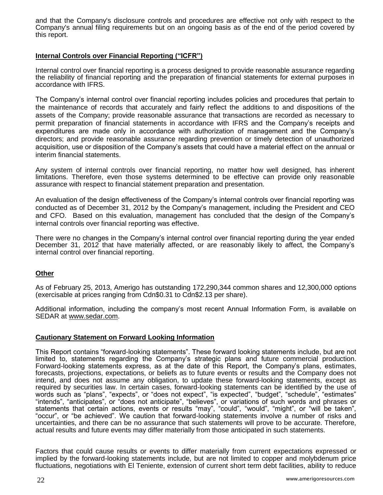and that the Company's disclosure controls and procedures are effective not only with respect to the Company's annual filing requirements but on an ongoing basis as of the end of the period covered by this report.

# **Internal Controls over Financial Reporting ("ICFR")**

Internal control over financial reporting is a process designed to provide reasonable assurance regarding the reliability of financial reporting and the preparation of financial statements for external purposes in accordance with IFRS.

The Company's internal control over financial reporting includes policies and procedures that pertain to the maintenance of records that accurately and fairly reflect the additions to and dispositions of the assets of the Company; provide reasonable assurance that transactions are recorded as necessary to permit preparation of financial statements in accordance with IFRS and the Company's receipts and expenditures are made only in accordance with authorization of management and the Company's directors; and provide reasonable assurance regarding prevention or timely detection of unauthorized acquisition, use or disposition of the Company's assets that could have a material effect on the annual or interim financial statements.

Any system of internal controls over financial reporting, no matter how well designed, has inherent limitations. Therefore, even those systems determined to be effective can provide only reasonable assurance with respect to financial statement preparation and presentation.

An evaluation of the design effectiveness of the Company's internal controls over financial reporting was conducted as of December 31, 2012 by the Company's management, including the President and CEO and CFO. Based on this evaluation, management has concluded that the design of the Company's internal controls over financial reporting was effective.

There were no changes in the Company's internal control over financial reporting during the year ended December 31, 2012 that have materially affected, or are reasonably likely to affect, the Company's internal control over financial reporting.

#### **Other**

As of February 25, 2013, Amerigo has outstanding 172,290,344 common shares and 12,300,000 options (exercisable at prices ranging from Cdn\$0.31 to Cdn\$2.13 per share).

Additional information, including the company's most recent Annual Information Form, is available on SEDAR at [www.sedar.com.](http://www.sedar.com/)

#### **Cautionary Statement on Forward Looking Information**

This Report contains "forward-looking statements". These forward looking statements include, but are not limited to, statements regarding the Company's strategic plans and future commercial production. Forward-looking statements express, as at the date of this Report, the Company's plans, estimates, forecasts, projections, expectations, or beliefs as to future events or results and the Company does not intend, and does not assume any obligation, to update these forward-looking statements, except as required by securities law. In certain cases, forward-looking statements can be identified by the use of words such as "plans", "expects", or "does not expect", "is expected", "budget", "schedule", "estimates" "intends", "anticipates", or "does not anticipate", "believes", or variations of such words and phrases or statements that certain actions, events or results "may", "could", "would", "might", or "will be taken", "occur", or "be achieved". We caution that forward-looking statements involve a number of risks and uncertainties, and there can be no assurance that such statements will prove to be accurate. Therefore, actual results and future events may differ materially from those anticipated in such statements.

Factors that could cause results or events to differ materially from current expectations expressed or implied by the forward-looking statements include, but are not limited to copper and molybdenum price fluctuations, negotiations with El Teniente, extension of current short term debt facilities, ability to reduce